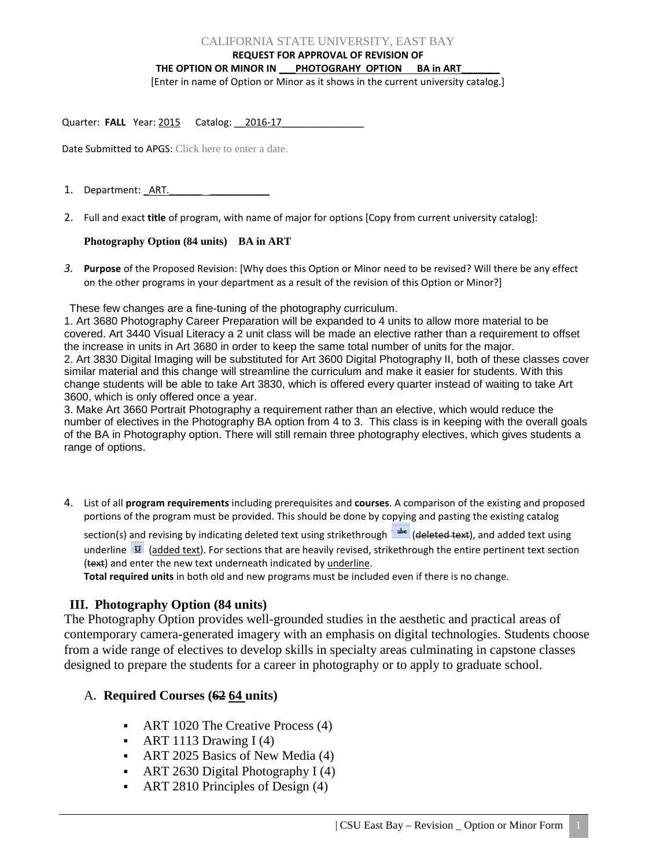### CALIFORNIA STATE UNIVERSITY, EAST BAY

**REQUEST FOR APPROVAL OF REVISION OF** 

#### THE OPTION OR MINOR IN PHOTOGRAHY OPTION BA in ART

[Enter in name of Option or Minor as it shows in the current university catalog.]

Quarter: FALL Year: 2015 Catalog: 2016-17

Date Submitted to APGS: Click here to enter a date.

- 1. Department: ART.
- 2. Full and exact **title** of program, with name of major for options [Copy from current university catalog]:

## **Photography Option (84 units) BA in ART**

*3.* **Purpose** of the Proposed Revision: [Why does this Option or Minor need to be revised? Will there be any effect on the other programs in your department as a result of the revision of this Option or Minor?]

These few changes are a fine-tuning of the photography curriculum.

1. Art 3680 Photography Career Preparation will be expanded to 4 units to allow more material to be covered. Art 3440 Visual Literacy a 2 unit class will be made an elective rather than a requirement to offset the increase in units in Art 3680 in order to keep the same total number of units for the major. 2. Art 3830 Digital Imaging will be substituted for Art 3600 Digital Photography II, both of these classes cover similar material and this change will streamline the curriculum and make it easier for students. With this change students will be able to take Art 3830, which is offered every quarter instead of waiting to take Art 3600, which is only offered once a year.

3. Make Art 3660 Portrait Photography a requirement rather than an elective, which would reduce the number of electives in the Photography BA option from 4 to 3. This class is in keeping with the overall goals of the BA in Photography option. There will still remain three photography electives, which gives students a range of options.

4. List of all **program requirements** including prerequisites and **courses**. A comparison of the existing and proposed portions of the program must be provided. This should be done by copying and pasting the existing catalog

section(s) and revising by indicating deleted text using strikethrough [sakesa] (deleted text), and added text using underline  $\mathbf{U}$  (added text). For sections that are heavily revised, strikethrough the entire pertinent text section (text) and enter the new text underneath indicated by underline.

**Total required units** in both old and new programs must be included even if there is no change.

# **III. Photography Option (84 units)**

The Photography Option provides well-grounded studies in the aesthetic and practical areas of contemporary camera-generated imagery with an emphasis on digital technologies. Students choose from a wide range of electives to develop skills in specialty areas culminating in capstone classes designed to prepare the students for a career in photography or to apply to graduate school.

# A. **Required Courses (62 64 units)**

- ART 1020 The Creative Process (4)
- ART 1113 Drawing  $I(4)$
- ART 2025 Basics of New Media (4)
- ART 2630 Digital Photography I  $(4)$
- ART 2810 Principles of Design (4)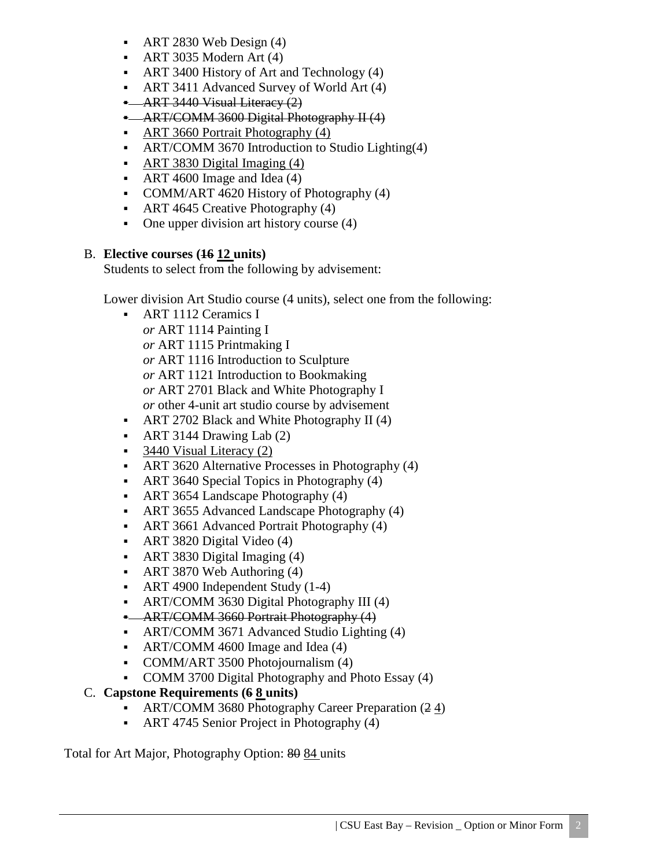- $ART$  2830 Web Design (4)
- $\blacksquare$  ART 3035 Modern Art (4)
- ART 3400 History of Art and Technology (4)
- ART 3411 Advanced Survey of World Art (4)
- ART 3440 Visual Literacy (2)
- ART/COMM 3600 Digital Photography II (4)
- ART 3660 Portrait Photography (4)
- ART/COMM 3670 Introduction to Studio Lighting(4)
- ART 3830 Digital Imaging (4)
- ART 4600 Image and Idea (4)
- COMM/ART 4620 History of Photography (4)
- ART 4645 Creative Photography (4)
- One upper division art history course  $(4)$

# B. **Elective courses (16 12 units)**

Students to select from the following by advisement:

Lower division Art Studio course (4 units), select one from the following:

- **ART 1112 Ceramics I** *or* ART 1114 Painting I *or* ART 1115 Printmaking I *or* ART 1116 Introduction to Sculpture *or* ART 1121 Introduction to Bookmaking *or* ART 2701 Black and White Photography I *or* other 4-unit art studio course by advisement
- ART 2702 Black and White Photography II (4)
- ART 3144 Drawing Lab  $(2)$
- $\sim$  3440 Visual Literacy (2)
- ART 3620 Alternative Processes in Photography (4)
- ART 3640 Special Topics in Photography (4)
- ART 3654 Landscape Photography (4)
- ART 3655 Advanced Landscape Photography (4)
- ART 3661 Advanced Portrait Photography (4)
- ART 3820 Digital Video (4)
- ART 3830 Digital Imaging (4)
- ART 3870 Web Authoring (4)
- ART 4900 Independent Study (1-4)
- ART/COMM 3630 Digital Photography III (4)
- **-** ART/COMM 3660 Portrait Photography (4)
- ART/COMM 3671 Advanced Studio Lighting (4)
- ART/COMM 4600 Image and Idea (4)
- COMM/ART 3500 Photojournalism (4)
- COMM 3700 Digital Photography and Photo Essay (4)

# C. **Capstone Requirements (6 8 units)**

- ART/COMM 3680 Photography Career Preparation (2.4)
- ART 4745 Senior Project in Photography (4)

Total for Art Major, Photography Option: 80 84 units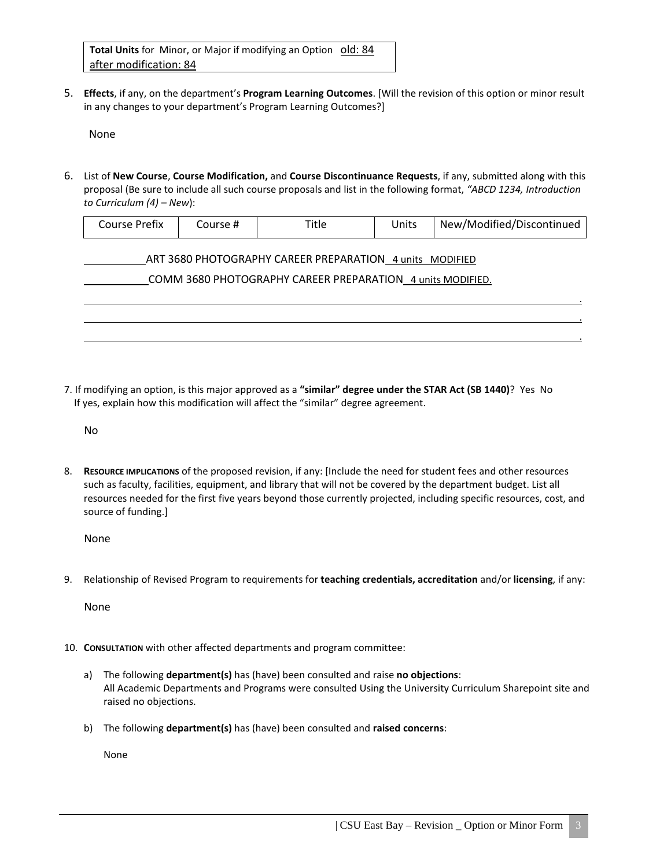**Total Units** for Minor, or Major if modifying an Option old: 84 after modification: 84

5. **Effects**, if any, on the department's **Program Learning Outcomes**. [Will the revision of this option or minor result in any changes to your department's Program Learning Outcomes?]

None

6. List of **New Course**, **Course Modification,** and **Course Discontinuance Requests**, if any, submitted along with this proposal (Be sure to include all such course proposals and list in the following format, *"ABCD 1234, Introduction to Curriculum (4) – New*):

| Course Prefix                                              | Course # | Title | Units | New/Modified/Discontinued |  |  |
|------------------------------------------------------------|----------|-------|-------|---------------------------|--|--|
| ART 3680 PHOTOGRAPHY CAREER PREPARATION 4 units MODIFIED   |          |       |       |                           |  |  |
| COMM 3680 PHOTOGRAPHY CAREER PREPARATION 4 units MODIFIED. |          |       |       |                           |  |  |
|                                                            |          |       |       |                           |  |  |
|                                                            |          |       |       |                           |  |  |
|                                                            |          |       |       |                           |  |  |

7. If modifying an option, is this major approved as a **"similar" degree under the STAR Act (SB 1440)**? Yes No If yes, explain how this modification will affect the "similar" degree agreement.

No

8. **RESOURCE IMPLICATIONS** of the proposed revision, if any: [Include the need for student fees and other resources such as faculty, facilities, equipment, and library that will not be covered by the department budget. List all resources needed for the first five years beyond those currently projected, including specific resources, cost, and source of funding.]

None

9. Relationship of Revised Program to requirements for **teaching credentials, accreditation** and/or **licensing**, if any:

None

- 10. **CONSULTATION** with other affected departments and program committee:
	- a) The following **department(s)** has (have) been consulted and raise **no objections**: All Academic Departments and Programs were consulted Using the University Curriculum Sharepoint site and raised no objections.
	- b) The following **department(s)** has (have) been consulted and **raised concerns**:

None